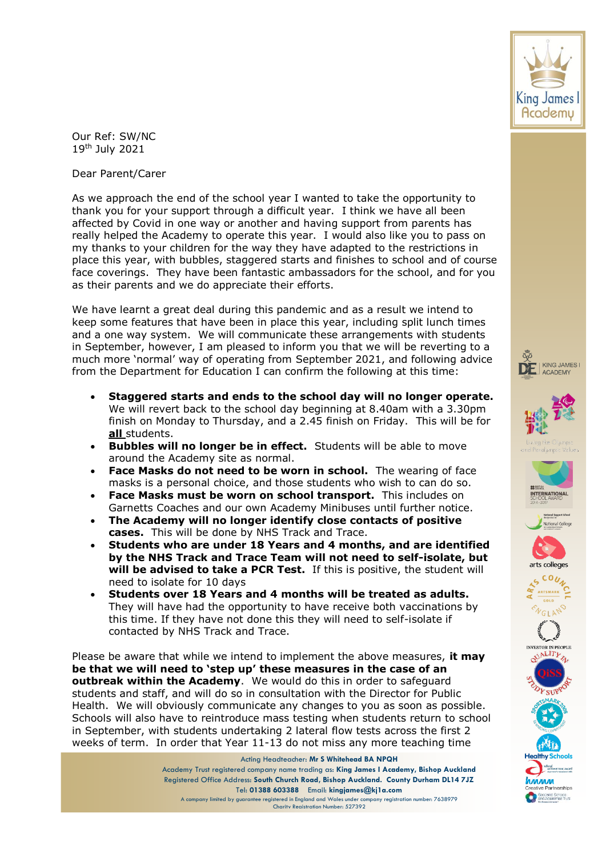

Our Ref: SW/NC 19th July 2021

Dear Parent/Carer

As we approach the end of the school year I wanted to take the opportunity to thank you for your support through a difficult year. I think we have all been affected by Covid in one way or another and having support from parents has really helped the Academy to operate this year. I would also like you to pass on my thanks to your children for the way they have adapted to the restrictions in place this year, with bubbles, staggered starts and finishes to school and of course face coverings. They have been fantastic ambassadors for the school, and for you as their parents and we do appreciate their efforts.

We have learnt a great deal during this pandemic and as a result we intend to keep some features that have been in place this year, including split lunch times and a one way system. We will communicate these arrangements with students in September, however, I am pleased to inform you that we will be reverting to a much more 'normal' way of operating from September 2021, and following advice from the Department for Education I can confirm the following at this time:

- **Staggered starts and ends to the school day will no longer operate.** We will revert back to the school day beginning at 8.40am with a 3.30pm finish on Monday to Thursday, and a 2.45 finish on Friday. This will be for **all** students.
- **Bubbles will no longer be in effect.** Students will be able to move around the Academy site as normal.
- **Face Masks do not need to be worn in school.** The wearing of face masks is a personal choice, and those students who wish to can do so.
- **Face Masks must be worn on school transport.** This includes on Garnetts Coaches and our own Academy Minibuses until further notice.
- **The Academy will no longer identify close contacts of positive cases.** This will be done by NHS Track and Trace.
- **Students who are under 18 Years and 4 months, and are identified by the NHS Track and Trace Team will not need to self-isolate, but will be advised to take a PCR Test.** If this is positive, the student will need to isolate for 10 days
- **Students over 18 Years and 4 months will be treated as adults.**  They will have had the opportunity to have receive both vaccinations by this time. If they have not done this they will need to self-isolate if contacted by NHS Track and Trace.

Please be aware that while we intend to implement the above measures, **it may be that we will need to 'step up' these measures in the case of an outbreak within the Academy**. We would do this in order to safeguard students and staff, and will do so in consultation with the Director for Public Health. We will obviously communicate any changes to you as soon as possible. Schools will also have to reintroduce mass testing when students return to school in September, with students undertaking 2 lateral flow tests across the first 2 weeks of term. In order that Year 11-13 do not miss any more teaching time

















nn nn nn n

.<br>Specialist Schools<br>and Academies Trus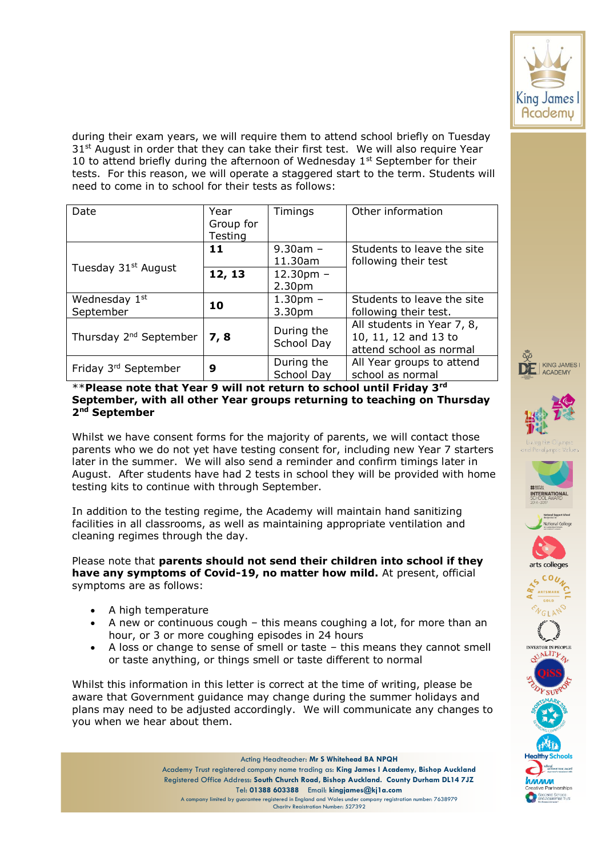

during their exam years, we will require them to attend school briefly on Tuesday  $31<sup>st</sup>$  August in order that they can take their first test. We will also require Year 10 to attend briefly during the afternoon of Wednesday  $1<sup>st</sup>$  September for their tests. For this reason, we will operate a staggered start to the term. Students will need to come in to school for their tests as follows:

| Date                               | Year<br>Group for | Timings                           | Other information                                                             |
|------------------------------------|-------------------|-----------------------------------|-------------------------------------------------------------------------------|
|                                    | Testing           |                                   |                                                                               |
| Tuesday 31 <sup>st</sup> August    | 11                | $9.30$ am $-$<br>11.30am          | Students to leave the site<br>following their test                            |
|                                    | 12, 13            | $12.30pm -$<br>2.30 <sub>pm</sub> |                                                                               |
| Wednesday 1st<br>September         | 10                | $1.30pm -$<br>3.30pm              | Students to leave the site<br>following their test.                           |
| Thursday 2 <sup>nd</sup> September | 7,8               | During the<br>School Day          | All students in Year 7, 8,<br>10, 11, 12 and 13 to<br>attend school as normal |
| Friday 3rd September               | 9                 | During the<br>School Day          | All Year groups to attend<br>school as normal                                 |

\*\***Please note that Year 9 will not return to school until Friday 3rd September, with all other Year groups returning to teaching on Thursday 2 nd September**

Whilst we have consent forms for the majority of parents, we will contact those parents who we do not yet have testing consent for, including new Year 7 starters later in the summer. We will also send a reminder and confirm timings later in August. After students have had 2 tests in school they will be provided with home testing kits to continue with through September.

In addition to the testing regime, the Academy will maintain hand sanitizing facilities in all classrooms, as well as maintaining appropriate ventilation and cleaning regimes through the day.

Please note that **parents should not send their children into school if they have any symptoms of Covid-19, no matter how mild.** At present, official symptoms are as follows:

- A high temperature
- A new or continuous cough this means coughing a lot, for more than an hour, or 3 or more coughing episodes in 24 hours
- A loss or change to sense of smell or taste this means they cannot smell or taste anything, or things smell or taste different to normal

Whilst this information in this letter is correct at the time of writing, please be aware that Government guidance may change during the summer holidays and plans may need to be adjusted accordingly. We will communicate any changes to you when we hear about them.

> Acting Headteacher: **Mr S Whitehead BA NPQH** Academy Trust registered company name trading as: **King James I Academy, Bishop Auckland** Registered Office Address: **South Church Road, Bishop Auckland. County Durham DL14 7JZ** Tel: **01388 603388** Email: **kingjames@kj1a.com** A company limited by guarantee registered in England and Wales under company registration number: 7638979 Charity Registration Number: 527392

















pecialist Schools<br>nd Academies Trus